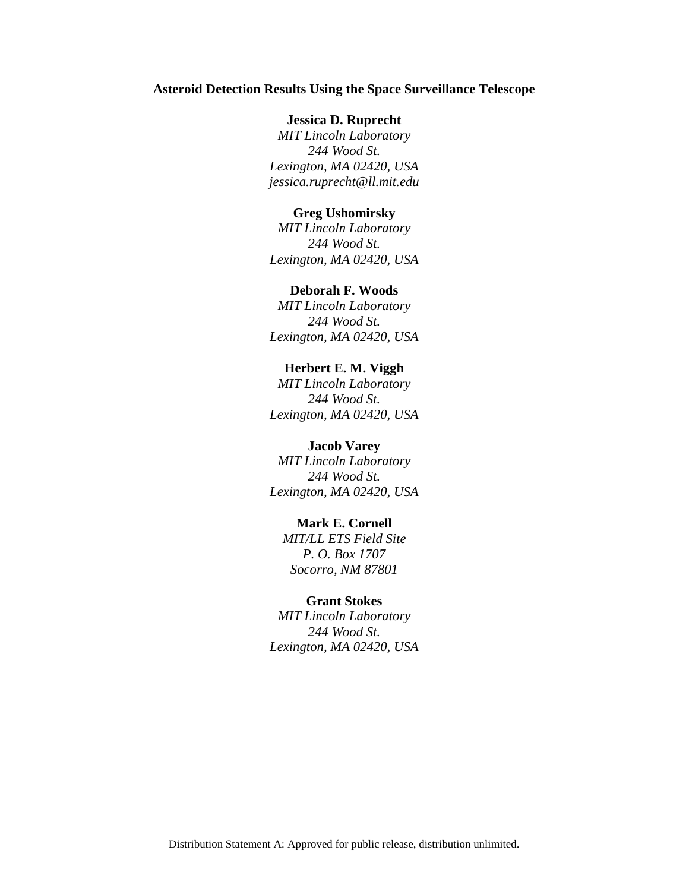# **Asteroid Detection Results Using the Space Surveillance Telescope**

# **Jessica D. Ruprecht**

*MIT Lincoln Laboratory 244 Wood St. Lexington, MA 02420, USA jessica.ruprecht@ll.mit.edu*

## **Greg Ushomirsky**

*MIT Lincoln Laboratory 244 Wood St. Lexington, MA 02420, USA*

# **Deborah F. Woods**

*MIT Lincoln Laboratory 244 Wood St. Lexington, MA 02420, USA*

### **Herbert E. M. Viggh**

*MIT Lincoln Laboratory 244 Wood St. Lexington, MA 02420, USA*

# **Jacob Varey**

*MIT Lincoln Laboratory 244 Wood St. Lexington, MA 02420, USA*

## **Mark E. Cornell**

*MIT/LL ETS Field Site P. O. Box 1707 Socorro, NM 87801*

# **Grant Stokes**

*MIT Lincoln Laboratory 244 Wood St. Lexington, MA 02420, USA*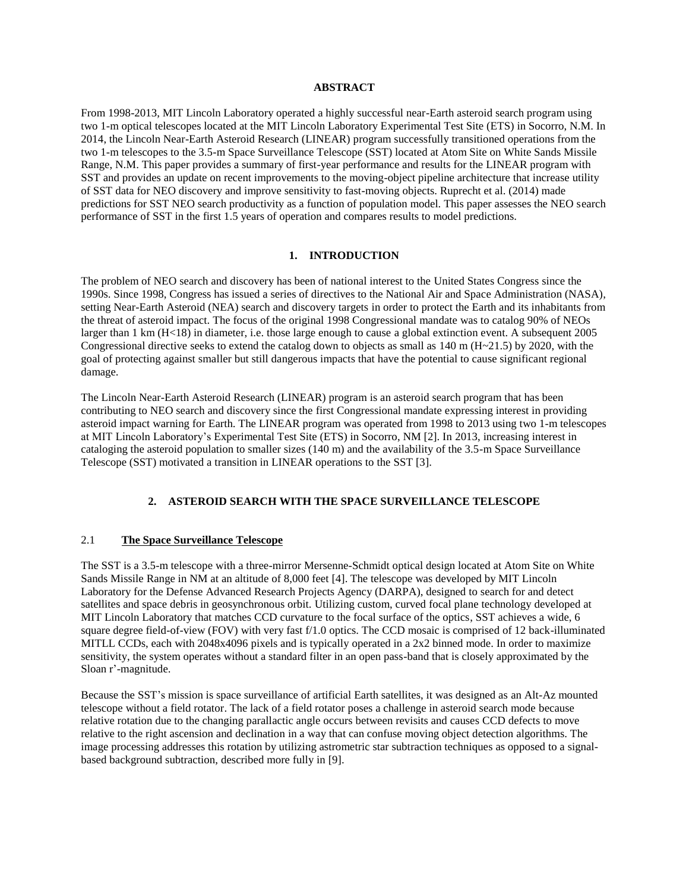### **ABSTRACT**

From 1998-2013, MIT Lincoln Laboratory operated a highly successful near-Earth asteroid search program using two 1-m optical telescopes located at the MIT Lincoln Laboratory Experimental Test Site (ETS) in Socorro, N.M. In 2014, the Lincoln Near-Earth Asteroid Research (LINEAR) program successfully transitioned operations from the two 1-m telescopes to the 3.5-m Space Surveillance Telescope (SST) located at Atom Site on White Sands Missile Range, N.M. This paper provides a summary of first-year performance and results for the LINEAR program with SST and provides an update on recent improvements to the moving-object pipeline architecture that increase utility of SST data for NEO discovery and improve sensitivity to fast-moving objects. Ruprecht et al. (2014) made predictions for SST NEO search productivity as a function of population model. This paper assesses the NEO search performance of SST in the first 1.5 years of operation and compares results to model predictions.

#### **1. INTRODUCTION**

The problem of NEO search and discovery has been of national interest to the United States Congress since the 1990s. Since 1998, Congress has issued a series of directives to the National Air and Space Administration (NASA), setting Near-Earth Asteroid (NEA) search and discovery targets in order to protect the Earth and its inhabitants from the threat of asteroid impact. The focus of the original 1998 Congressional mandate was to catalog 90% of NEOs larger than 1 km (H<18) in diameter, i.e. those large enough to cause a global extinction event. A subsequent 2005 Congressional directive seeks to extend the catalog down to objects as small as  $140 \text{ m (H~21.5)}$  by 2020, with the goal of protecting against smaller but still dangerous impacts that have the potential to cause significant regional damage.

The Lincoln Near-Earth Asteroid Research (LINEAR) program is an asteroid search program that has been contributing to NEO search and discovery since the first Congressional mandate expressing interest in providing asteroid impact warning for Earth. The LINEAR program was operated from 1998 to 2013 using two 1-m telescopes at MIT Lincoln Laboratory's Experimental Test Site (ETS) in Socorro, NM [2]. In 2013, increasing interest in cataloging the asteroid population to smaller sizes (140 m) and the availability of the 3.5-m Space Surveillance Telescope (SST) motivated a transition in LINEAR operations to the SST [3].

# **2. ASTEROID SEARCH WITH THE SPACE SURVEILLANCE TELESCOPE**

#### 2.1 **The Space Surveillance Telescope**

The SST is a 3.5-m telescope with a three-mirror Mersenne-Schmidt optical design located at Atom Site on White Sands Missile Range in NM at an altitude of 8,000 feet [4]. The telescope was developed by MIT Lincoln Laboratory for the Defense Advanced Research Projects Agency (DARPA), designed to search for and detect satellites and space debris in geosynchronous orbit. Utilizing custom, curved focal plane technology developed at MIT Lincoln Laboratory that matches CCD curvature to the focal surface of the optics, SST achieves a wide, 6 square degree field-of-view (FOV) with very fast f/1.0 optics. The CCD mosaic is comprised of 12 back-illuminated MITLL CCDs, each with 2048x4096 pixels and is typically operated in a 2x2 binned mode. In order to maximize sensitivity, the system operates without a standard filter in an open pass-band that is closely approximated by the Sloan r'-magnitude.

Because the SST's mission is space surveillance of artificial Earth satellites, it was designed as an Alt-Az mounted telescope without a field rotator. The lack of a field rotator poses a challenge in asteroid search mode because relative rotation due to the changing parallactic angle occurs between revisits and causes CCD defects to move relative to the right ascension and declination in a way that can confuse moving object detection algorithms. The image processing addresses this rotation by utilizing astrometric star subtraction techniques as opposed to a signalbased background subtraction, described more fully in [9].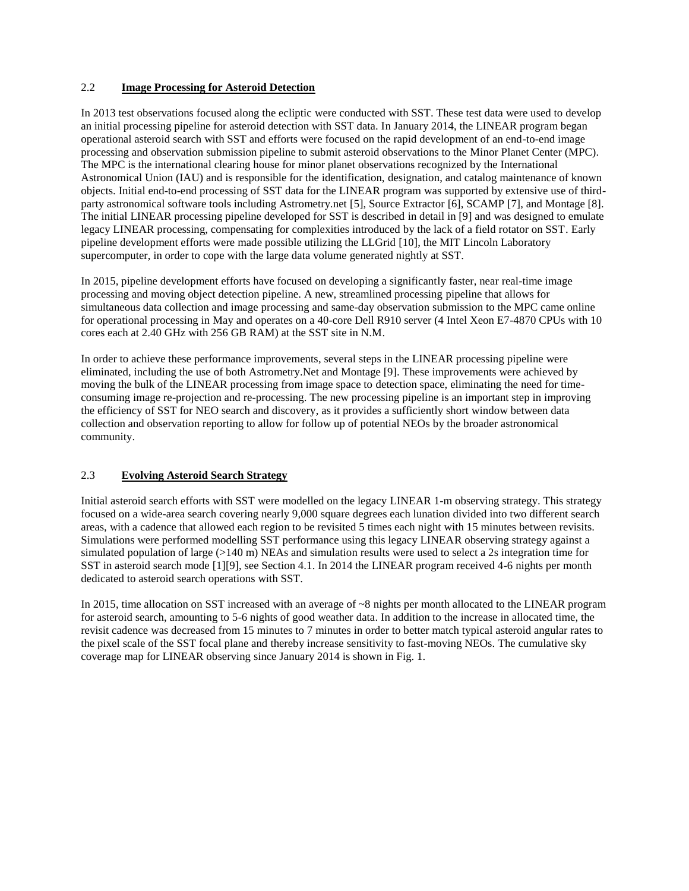### 2.2 **Image Processing for Asteroid Detection**

In 2013 test observations focused along the ecliptic were conducted with SST. These test data were used to develop an initial processing pipeline for asteroid detection with SST data. In January 2014, the LINEAR program began operational asteroid search with SST and efforts were focused on the rapid development of an end-to-end image processing and observation submission pipeline to submit asteroid observations to the Minor Planet Center (MPC). The MPC is the international clearing house for minor planet observations recognized by the International Astronomical Union (IAU) and is responsible for the identification, designation, and catalog maintenance of known objects. Initial end-to-end processing of SST data for the LINEAR program was supported by extensive use of thirdparty astronomical software tools including Astrometry.net [5], Source Extractor [6], SCAMP [7], and Montage [8]. The initial LINEAR processing pipeline developed for SST is described in detail in [9] and was designed to emulate legacy LINEAR processing, compensating for complexities introduced by the lack of a field rotator on SST. Early pipeline development efforts were made possible utilizing the LLGrid [10], the MIT Lincoln Laboratory supercomputer, in order to cope with the large data volume generated nightly at SST.

In 2015, pipeline development efforts have focused on developing a significantly faster, near real-time image processing and moving object detection pipeline. A new, streamlined processing pipeline that allows for simultaneous data collection and image processing and same-day observation submission to the MPC came online for operational processing in May and operates on a 40-core Dell R910 server (4 Intel Xeon E7-4870 CPUs with 10 cores each at 2.40 GHz with 256 GB RAM) at the SST site in N.M.

In order to achieve these performance improvements, several steps in the LINEAR processing pipeline were eliminated, including the use of both Astrometry.Net and Montage [9]. These improvements were achieved by moving the bulk of the LINEAR processing from image space to detection space, eliminating the need for timeconsuming image re-projection and re-processing. The new processing pipeline is an important step in improving the efficiency of SST for NEO search and discovery, as it provides a sufficiently short window between data collection and observation reporting to allow for follow up of potential NEOs by the broader astronomical community.

## 2.3 **Evolving Asteroid Search Strategy**

Initial asteroid search efforts with SST were modelled on the legacy LINEAR 1-m observing strategy. This strategy focused on a wide-area search covering nearly 9,000 square degrees each lunation divided into two different search areas, with a cadence that allowed each region to be revisited 5 times each night with 15 minutes between revisits. Simulations were performed modelling SST performance using this legacy LINEAR observing strategy against a simulated population of large (>140 m) NEAs and simulation results were used to select a 2s integration time for SST in asteroid search mode [1][9], see Section 4.1. In 2014 the LINEAR program received 4-6 nights per month dedicated to asteroid search operations with SST.

In 2015, time allocation on SST increased with an average of ~8 nights per month allocated to the LINEAR program for asteroid search, amounting to 5-6 nights of good weather data. In addition to the increase in allocated time, the revisit cadence was decreased from 15 minutes to 7 minutes in order to better match typical asteroid angular rates to the pixel scale of the SST focal plane and thereby increase sensitivity to fast-moving NEOs. The cumulative sky coverage map for LINEAR observing since January 2014 is shown in Fig. 1.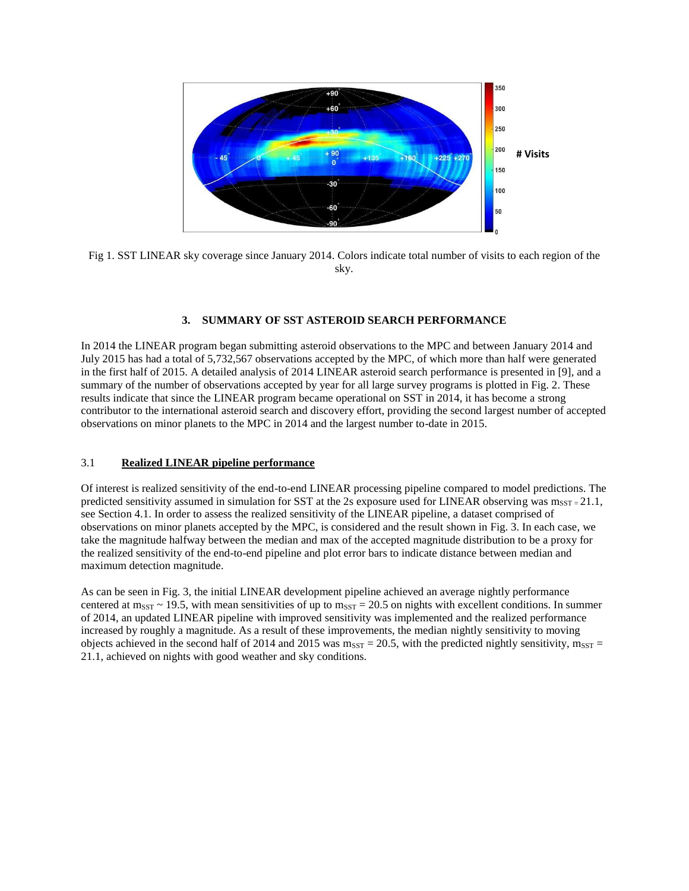

Fig 1. SST LINEAR sky coverage since January 2014. Colors indicate total number of visits to each region of the sky.

#### **3. SUMMARY OF SST ASTEROID SEARCH PERFORMANCE**

In 2014 the LINEAR program began submitting asteroid observations to the MPC and between January 2014 and July 2015 has had a total of 5,732,567 observations accepted by the MPC, of which more than half were generated in the first half of 2015. A detailed analysis of 2014 LINEAR asteroid search performance is presented in [9], and a summary of the number of observations accepted by year for all large survey programs is plotted in Fig. 2. These results indicate that since the LINEAR program became operational on SST in 2014, it has become a strong contributor to the international asteroid search and discovery effort, providing the second largest number of accepted observations on minor planets to the MPC in 2014 and the largest number to-date in 2015.

### 3.1 **Realized LINEAR pipeline performance**

Of interest is realized sensitivity of the end-to-end LINEAR processing pipeline compared to model predictions. The predicted sensitivity assumed in simulation for SST at the 2s exposure used for LINEAR observing was  $m_{SST} = 21.1$ , see Section 4.1. In order to assess the realized sensitivity of the LINEAR pipeline, a dataset comprised of observations on minor planets accepted by the MPC, is considered and the result shown in Fig. 3. In each case, we take the magnitude halfway between the median and max of the accepted magnitude distribution to be a proxy for the realized sensitivity of the end-to-end pipeline and plot error bars to indicate distance between median and maximum detection magnitude.

As can be seen in Fig. 3, the initial LINEAR development pipeline achieved an average nightly performance centered at m<sub>SST</sub> ~ 19.5, with mean sensitivities of up to m<sub>SST</sub> = 20.5 on nights with excellent conditions. In summer of 2014, an updated LINEAR pipeline with improved sensitivity was implemented and the realized performance increased by roughly a magnitude. As a result of these improvements, the median nightly sensitivity to moving objects achieved in the second half of 2014 and 2015 was  $m_{SST} = 20.5$ , with the predicted nightly sensitivity,  $m_{SST} =$ 21.1, achieved on nights with good weather and sky conditions.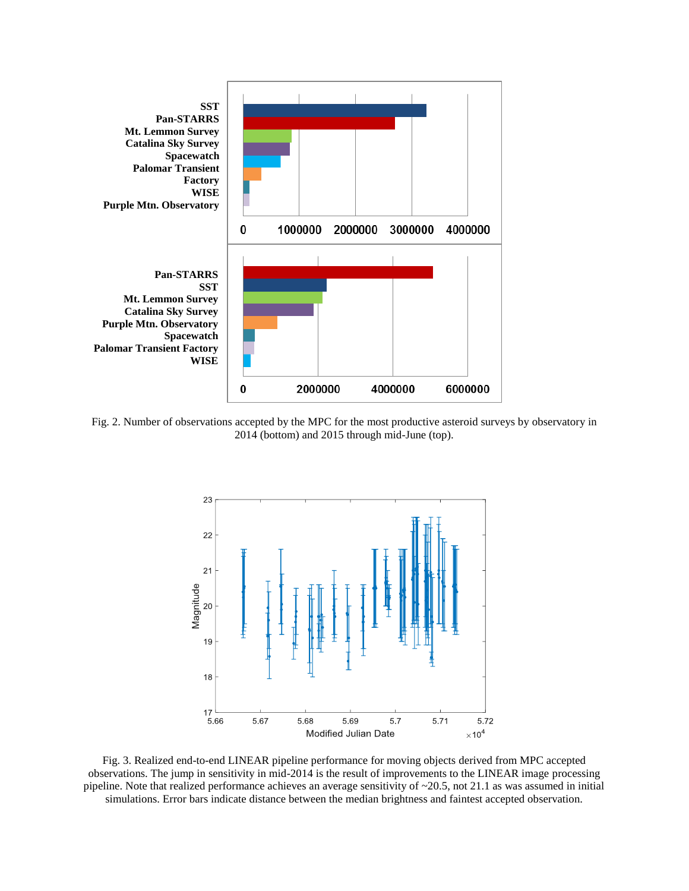

Fig. 2. Number of observations accepted by the MPC for the most productive asteroid surveys by observatory in 2014 (bottom) and 2015 through mid-June (top).



Fig. 3. Realized end-to-end LINEAR pipeline performance for moving objects derived from MPC accepted observations. The jump in sensitivity in mid-2014 is the result of improvements to the LINEAR image processing pipeline. Note that realized performance achieves an average sensitivity of  $\sim$ 20.5, not 21.1 as was assumed in initial simulations. Error bars indicate distance between the median brightness and faintest accepted observation.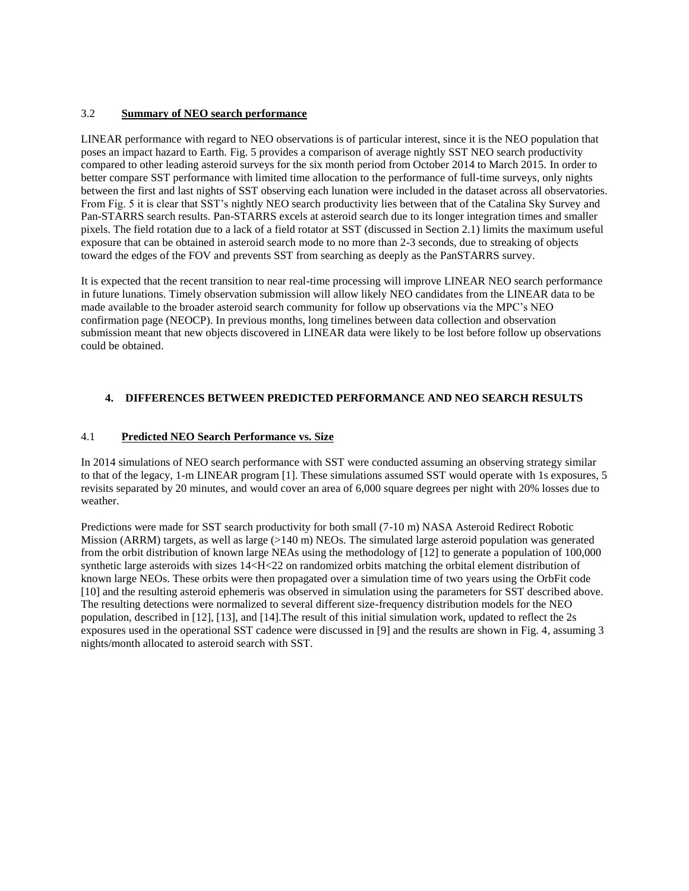### 3.2 **Summary of NEO search performance**

LINEAR performance with regard to NEO observations is of particular interest, since it is the NEO population that poses an impact hazard to Earth. Fig. 5 provides a comparison of average nightly SST NEO search productivity compared to other leading asteroid surveys for the six month period from October 2014 to March 2015. In order to better compare SST performance with limited time allocation to the performance of full-time surveys, only nights between the first and last nights of SST observing each lunation were included in the dataset across all observatories. From Fig. 5 it is clear that SST's nightly NEO search productivity lies between that of the Catalina Sky Survey and Pan-STARRS search results. Pan-STARRS excels at asteroid search due to its longer integration times and smaller pixels. The field rotation due to a lack of a field rotator at SST (discussed in Section 2.1) limits the maximum useful exposure that can be obtained in asteroid search mode to no more than 2-3 seconds, due to streaking of objects toward the edges of the FOV and prevents SST from searching as deeply as the PanSTARRS survey.

It is expected that the recent transition to near real-time processing will improve LINEAR NEO search performance in future lunations. Timely observation submission will allow likely NEO candidates from the LINEAR data to be made available to the broader asteroid search community for follow up observations via the MPC's NEO confirmation page (NEOCP). In previous months, long timelines between data collection and observation submission meant that new objects discovered in LINEAR data were likely to be lost before follow up observations could be obtained.

## **4. DIFFERENCES BETWEEN PREDICTED PERFORMANCE AND NEO SEARCH RESULTS**

## 4.1 **Predicted NEO Search Performance vs. Size**

In 2014 simulations of NEO search performance with SST were conducted assuming an observing strategy similar to that of the legacy, 1-m LINEAR program [1]. These simulations assumed SST would operate with 1s exposures, 5 revisits separated by 20 minutes, and would cover an area of 6,000 square degrees per night with 20% losses due to weather.

Predictions were made for SST search productivity for both small (7-10 m) NASA Asteroid Redirect Robotic Mission (ARRM) targets, as well as large (>140 m) NEOs. The simulated large asteroid population was generated from the orbit distribution of known large NEAs using the methodology of [12] to generate a population of 100,000 synthetic large asteroids with sizes  $14 \leq H \leq 22$  on randomized orbits matching the orbital element distribution of known large NEOs. These orbits were then propagated over a simulation time of two years using the OrbFit code [10] and the resulting asteroid ephemeris was observed in simulation using the parameters for SST described above. The resulting detections were normalized to several different size-frequency distribution models for the NEO population, described in [12], [13], and [14].The result of this initial simulation work, updated to reflect the 2s exposures used in the operational SST cadence were discussed in [9] and the results are shown in Fig. 4, assuming 3 nights/month allocated to asteroid search with SST.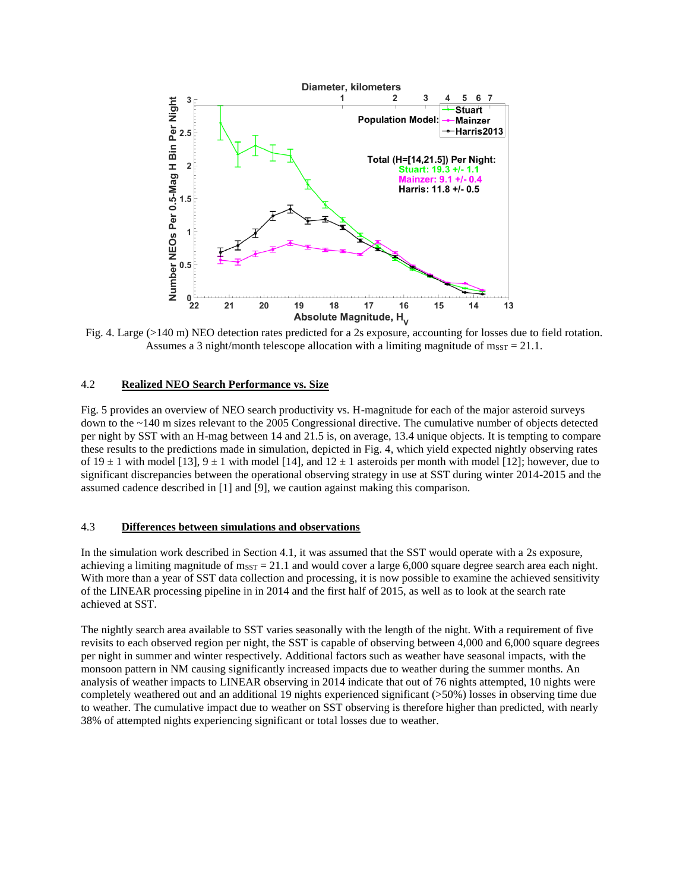

Fig. 4. Large (>140 m) NEO detection rates predicted for a 2s exposure, accounting for losses due to field rotation. Assumes a 3 night/month telescope allocation with a limiting magnitude of  $m_{SST} = 21.1$ .

### 4.2 **Realized NEO Search Performance vs. Size**

Fig. 5 provides an overview of NEO search productivity vs. H-magnitude for each of the major asteroid surveys down to the ~140 m sizes relevant to the 2005 Congressional directive. The cumulative number of objects detected per night by SST with an H-mag between 14 and 21.5 is, on average, 13.4 unique objects. It is tempting to compare these results to the predictions made in simulation, depicted in Fig. 4, which yield expected nightly observing rates of  $19 \pm 1$  with model [13],  $9 \pm 1$  with model [14], and  $12 \pm 1$  asteroids per month with model [12]; however, due to significant discrepancies between the operational observing strategy in use at SST during winter 2014-2015 and the assumed cadence described in [1] and [9], we caution against making this comparison.

### 4.3 **Differences between simulations and observations**

In the simulation work described in Section 4.1, it was assumed that the SST would operate with a 2s exposure, achieving a limiting magnitude of  $m_{SST} = 21.1$  and would cover a large 6,000 square degree search area each night. With more than a year of SST data collection and processing, it is now possible to examine the achieved sensitivity of the LINEAR processing pipeline in in 2014 and the first half of 2015, as well as to look at the search rate achieved at SST.

The nightly search area available to SST varies seasonally with the length of the night. With a requirement of five revisits to each observed region per night, the SST is capable of observing between 4,000 and 6,000 square degrees per night in summer and winter respectively. Additional factors such as weather have seasonal impacts, with the monsoon pattern in NM causing significantly increased impacts due to weather during the summer months. An analysis of weather impacts to LINEAR observing in 2014 indicate that out of 76 nights attempted, 10 nights were completely weathered out and an additional 19 nights experienced significant (>50%) losses in observing time due to weather. The cumulative impact due to weather on SST observing is therefore higher than predicted, with nearly 38% of attempted nights experiencing significant or total losses due to weather.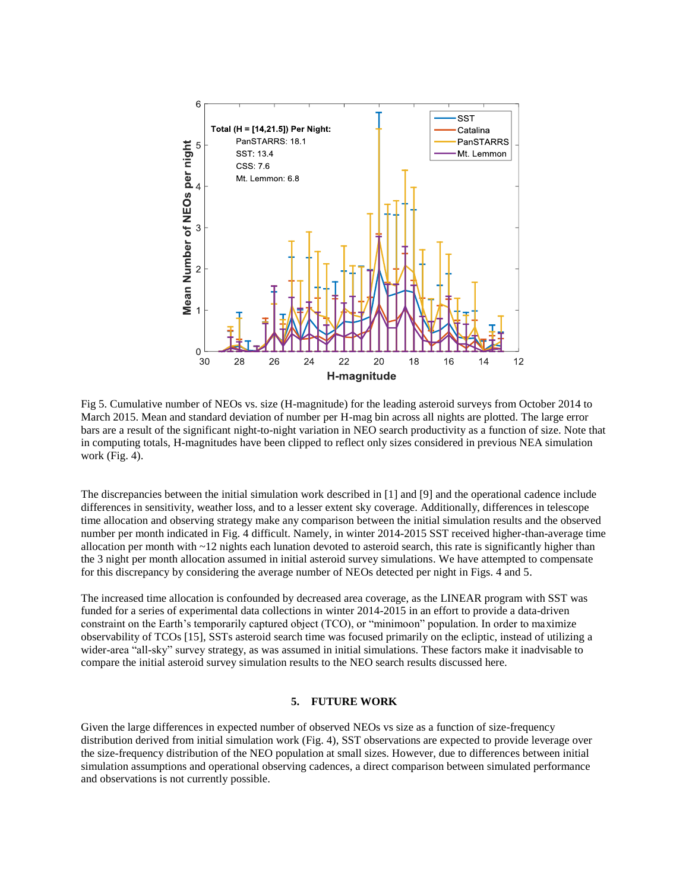

Fig 5. Cumulative number of NEOs vs. size (H-magnitude) for the leading asteroid surveys from October 2014 to March 2015. Mean and standard deviation of number per H-mag bin across all nights are plotted. The large error bars are a result of the significant night-to-night variation in NEO search productivity as a function of size. Note that in computing totals, H-magnitudes have been clipped to reflect only sizes considered in previous NEA simulation work (Fig. 4).

The discrepancies between the initial simulation work described in [1] and [9] and the operational cadence include differences in sensitivity, weather loss, and to a lesser extent sky coverage. Additionally, differences in telescope time allocation and observing strategy make any comparison between the initial simulation results and the observed number per month indicated in Fig. 4 difficult. Namely, in winter 2014-2015 SST received higher-than-average time allocation per month with  $\sim$ 12 nights each lunation devoted to asteroid search, this rate is significantly higher than the 3 night per month allocation assumed in initial asteroid survey simulations. We have attempted to compensate for this discrepancy by considering the average number of NEOs detected per night in Figs. 4 and 5.

The increased time allocation is confounded by decreased area coverage, as the LINEAR program with SST was funded for a series of experimental data collections in winter 2014-2015 in an effort to provide a data-driven constraint on the Earth's temporarily captured object (TCO), or "minimoon" population. In order to maximize observability of TCOs [15], SSTs asteroid search time was focused primarily on the ecliptic, instead of utilizing a wider-area "all-sky" survey strategy, as was assumed in initial simulations. These factors make it inadvisable to compare the initial asteroid survey simulation results to the NEO search results discussed here.

### **5. FUTURE WORK**

Given the large differences in expected number of observed NEOs vs size as a function of size-frequency distribution derived from initial simulation work (Fig. 4), SST observations are expected to provide leverage over the size-frequency distribution of the NEO population at small sizes. However, due to differences between initial simulation assumptions and operational observing cadences, a direct comparison between simulated performance and observations is not currently possible.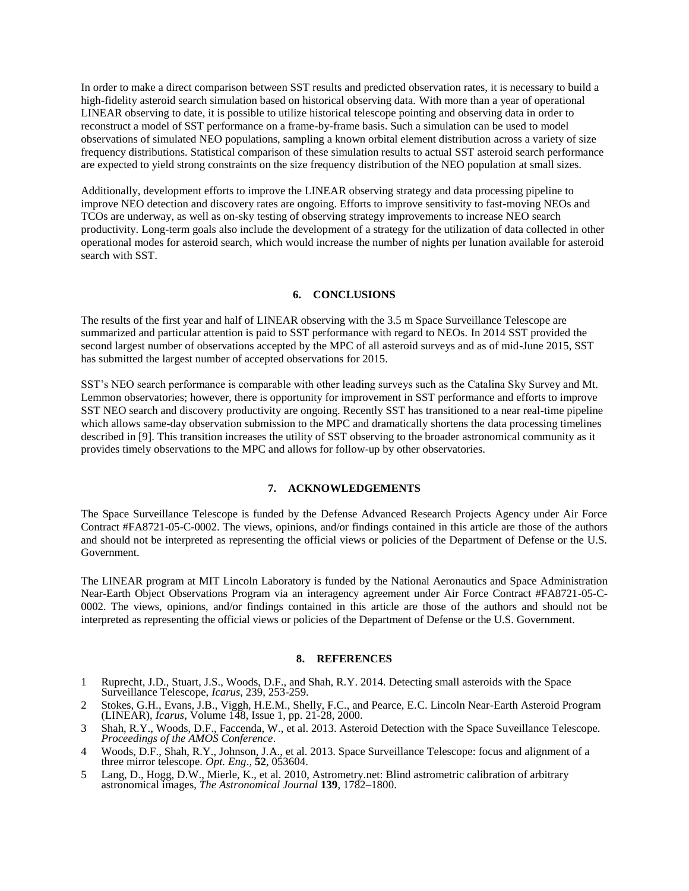In order to make a direct comparison between SST results and predicted observation rates, it is necessary to build a high-fidelity asteroid search simulation based on historical observing data. With more than a year of operational LINEAR observing to date, it is possible to utilize historical telescope pointing and observing data in order to reconstruct a model of SST performance on a frame-by-frame basis. Such a simulation can be used to model observations of simulated NEO populations, sampling a known orbital element distribution across a variety of size frequency distributions. Statistical comparison of these simulation results to actual SST asteroid search performance are expected to yield strong constraints on the size frequency distribution of the NEO population at small sizes.

Additionally, development efforts to improve the LINEAR observing strategy and data processing pipeline to improve NEO detection and discovery rates are ongoing. Efforts to improve sensitivity to fast-moving NEOs and TCOs are underway, as well as on-sky testing of observing strategy improvements to increase NEO search productivity. Long-term goals also include the development of a strategy for the utilization of data collected in other operational modes for asteroid search, which would increase the number of nights per lunation available for asteroid search with SST.

#### **6. CONCLUSIONS**

The results of the first year and half of LINEAR observing with the 3.5 m Space Surveillance Telescope are summarized and particular attention is paid to SST performance with regard to NEOs. In 2014 SST provided the second largest number of observations accepted by the MPC of all asteroid surveys and as of mid-June 2015, SST has submitted the largest number of accepted observations for 2015.

SST's NEO search performance is comparable with other leading surveys such as the Catalina Sky Survey and Mt. Lemmon observatories; however, there is opportunity for improvement in SST performance and efforts to improve SST NEO search and discovery productivity are ongoing. Recently SST has transitioned to a near real-time pipeline which allows same-day observation submission to the MPC and dramatically shortens the data processing timelines described in [9]. This transition increases the utility of SST observing to the broader astronomical community as it provides timely observations to the MPC and allows for follow-up by other observatories.

### **7. ACKNOWLEDGEMENTS**

The Space Surveillance Telescope is funded by the Defense Advanced Research Projects Agency under Air Force Contract #FA8721-05-C-0002. The views, opinions, and/or findings contained in this article are those of the authors and should not be interpreted as representing the official views or policies of the Department of Defense or the U.S. Government.

The LINEAR program at MIT Lincoln Laboratory is funded by the National Aeronautics and Space Administration Near-Earth Object Observations Program via an interagency agreement under Air Force Contract #FA8721-05-C-0002. The views, opinions, and/or findings contained in this article are those of the authors and should not be interpreted as representing the official views or policies of the Department of Defense or the U.S. Government.

#### **8. REFERENCES**

- 1 Ruprecht, J.D., Stuart, J.S., Woods, D.F., and Shah, R.Y. 2014. Detecting small asteroids with the Space Surveillance Telescope, *Icarus*, 239, 253-259.
- 2 Stokes, G.H., Evans, J.B., Viggh, H.E.M., Shelly, F.C., and Pearce, E.C. Lincoln Near-Earth Asteroid Program (LINEAR), *Icarus*, Volume 148, Issue 1, pp. 21-28, 2000.
- 3 Shah, R.Y., Woods, D.F., Faccenda, W., et al. 2013. Asteroid Detection with the Space Suveillance Telescope. *Proceedings of the AMOS Conference*.
- 4 Woods, D.F., Shah, R.Y., Johnson, J.A., et al. 2013. Space Surveillance Telescope: focus and alignment of a three mirror telescope. *Opt. Eng*., **52**, 053604.
- 5 Lang, D., Hogg, D.W., Mierle, K., et al. 2010, Astrometry.net: Blind astrometric calibration of arbitrary astronomical images, *The Astronomical Journal* **139**, 1782–1800.